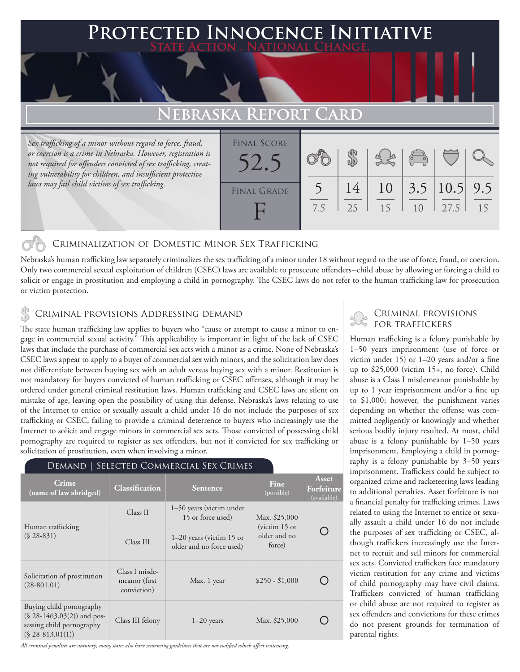### **PTED INNOCENCE INITIAT State Action . National Change.**

# **FBRASKA REPO**

*Sex trafficking of a minor without regard to force, fraud, or coercion is a crime in Nebraska. However, registration is not required for offenders convicted of sex trafficking, creating vulnerability for children, and insufficient protective laws may fail child victims of sex trafficking.*

| <b>FINAL SCORE</b> |     |    |    | $\sqrt{\frac{1}{10}}$ |                         |    |
|--------------------|-----|----|----|-----------------------|-------------------------|----|
| <b>FINAL GRADE</b> |     | 14 |    |                       | $10$   3.5   10.5   9.5 |    |
|                    | 7.5 | 25 | 15 | 10                    | 27.5                    | 15 |

### Criminalization of Domestic Minor Sex Trafficking

Nebraska's human trafficking law separately criminalizes the sex trafficking of a minor under 18 without regard to the use of force, fraud, or coercion. Only two commercial sexual exploitation of children (CSEC) laws are available to prosecute offenders--child abuse by allowing or forcing a child to solicit or engage in prostitution and employing a child in pornography. The CSEC laws do not refer to the human trafficking law for prosecution or victim protection.

### Criminal provisions Addressing demand

The state human trafficking law applies to buyers who "cause or attempt to cause a minor to engage in commercial sexual activity." This applicability is important in light of the lack of CSEC laws that include the purchase of commercial sex acts with a minor as a crime. None of Nebraska's CSEC laws appear to apply to a buyer of commercial sex with minors, and the solicitation law does not differentiate between buying sex with an adult versus buying sex with a minor. Restitution is not mandatory for buyers convicted of human trafficking or CSEC offenses, although it may be ordered under general criminal restitution laws. Human trafficking and CSEC laws are silent on mistake of age, leaving open the possibility of using this defense. Nebraska's laws relating to use of the Internet to entice or sexually assault a child under 16 do not include the purposes of sex trafficking or CSEC, failing to provide a criminal deterrence to buyers who increasingly use the Internet to solicit and engage minors in commercial sex acts. Those convicted of possessing child pornography are required to register as sex offenders, but not if convicted for sex trafficking or solicitation of prostitution, even when involving a minor.

| DEMAND   SELECTED COMMERCIAL SEX CRIMES                                                                      |                                                 |                                                        |                                           |                                           |  |  |  |  |
|--------------------------------------------------------------------------------------------------------------|-------------------------------------------------|--------------------------------------------------------|-------------------------------------------|-------------------------------------------|--|--|--|--|
| Crime<br>(name of law abridged)                                                                              | <b>Classification</b>                           | <b>Sentence</b>                                        | Fine<br>(possible)                        | <b>Asset</b><br>Forfeiture<br>(available) |  |  |  |  |
| Human trafficking<br>$(S.28-831)$                                                                            | Class II                                        | 1–50 years (victim under<br>15 or force used)          |                                           |                                           |  |  |  |  |
|                                                                                                              | Class III                                       | $1-20$ years (victim 15 or<br>older and no force used) | (victim $15$ or<br>older and no<br>force) |                                           |  |  |  |  |
| Solicitation of prostitution<br>$(28-801.01)$                                                                | Class I misde-<br>meanor (first)<br>conviction) | Max. 1 year                                            | $$250 - $1,000$                           |                                           |  |  |  |  |
| Buying child pornography<br>$(\$ 28-1463.03(2))$ and pos-<br>sessing child pornography<br>$(S$ 28-813.01(1)) | Class III felony                                | $1-20$ years                                           | Max. \$25,000                             |                                           |  |  |  |  |

*All criminal penalties are statutory; many states also have sentencing guidelines that are not codified which affect sentencing.* 



# **La Criminal provisions<br>• for traffickers**

Human trafficking is a felony punishable by 1–50 years imprisonment (use of force or victim under 15) or 1–20 years and/or a fine up to \$25,000 (victim 15+, no force). Child abuse is a Class I misdemeanor punishable by up to 1 year imprisonment and/or a fine up to \$1,000; however, the punishment varies depending on whether the offense was committed negligently or knowingly and whether serious bodily injury resulted. At most, child abuse is a felony punishable by 1–50 years imprisonment. Employing a child in pornography is a felony punishable by 3–50 years imprisonment. Traffickers could be subject to organized crime and racketeering laws leading to additional penalties. Asset forfeiture is not a financial penalty for trafficking crimes. Laws related to using the Internet to entice or sexually assault a child under 16 do not include the purposes of sex trafficking or CSEC, although traffickers increasingly use the Internet to recruit and sell minors for commercial sex acts. Convicted traffickers face mandatory victim restitution for any crime and victims of child pornography may have civil claims. Traffickers convicted of human trafficking or child abuse are not required to register as sex offenders and convictions for these crimes do not present grounds for termination of parental rights.